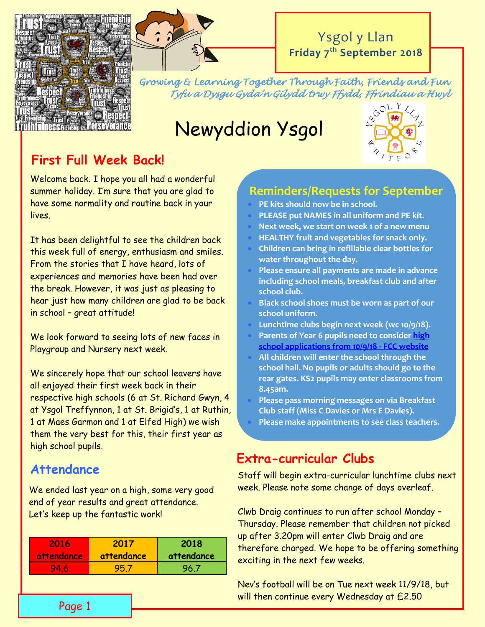



# Ysgol y Llan **Friday 7 th September 2018**

*Growing & Learning Together Through Faith, Friends and Fun Tyfu a Dysgu Gyda'n Gilydd trwy Ffydd, Ffrindiau a Hwyl* 

# Newyddion Ysgol



# **First Full Week Back!**

Welcome back. I hope you all had a wonderful summer holiday. I'm sure that you are glad to have some normality and routine back in your lives.

It has been delightful to see the children back this week full of energy, enthusiasm and smiles. From the stories that I have heard, lots of experiences and memories have been had over the break. However, it was just as pleasing to hear just how many children are glad to be back in school – great attitude!

We look forward to seeing lots of new faces in Playgroup and Nursery next week.

We sincerely hope that our school leavers have all enjoyed their first week back in their respective high schools (6 at St. Richard Gwyn, 4 at Ysgol Treffynnon, 1 at St. Brigid's, 1 at Ruthin, 1 at Maes Garmon and 1 at Elfed High) we wish them the very best for this, their first year as high school pupils.

# **Attendance**

We ended last year on a high, some very good end of year results and great attendance. Let's keep up the fantastic work!

| 2016              | 2017       | 2018       |
|-------------------|------------|------------|
| <i>attendance</i> | attendance | attendance |
| 94.6              | 95.7       | 96.7       |

# **Reminders/Requests for September**

- **PE kits should now be in school.**
- **PLEASE put NAMES in all uniform and PE kit.**
- **Next week, we start on week 1 of a new menu**
- **HEALTHY fruit and vegetables for snack only.**
- **Children can bring in refillable clear bottles for water throughout the day.**
- **Please ensure all payments are made in advance including school meals, breakfast club and after school club.**
- **Black school shoes must be worn as part of our school uniform.**
- **Lunchtime clubs begin next week (wc 10/9/18).**
- **Parents of Year 6 pupils need to conside[r high](http://www.flintshire.gov.uk/en/Resident/Schools/School-Admissions.aspx)  [school applications from 10/9/18 -](http://www.flintshire.gov.uk/en/Resident/Schools/School-Admissions.aspx) FCC website**
- **All children will enter the school through the school hall. No pupils or adults should go to the rear gates. KS2 pupils may enter classrooms from 8.45am.**
- **Please pass morning messages on via Breakfast Club staff (Miss C Davies or Mrs E Davies).**
- **Please make appointments to see class teachers.**

# **Extra-curricular Clubs**

Ñ

Staff will begin extra-curricular lunchtime clubs next week. Please note some change of days overleaf.

Clwb Draig continues to run after school Monday – Thursday. Please remember that children not picked up after 3.20pm will enter Clwb Draig and are therefore charged. We hope to be offering something exciting in the next few weeks.

Nev's football will be on Tue next week 11/9/18, but will then continue every Wednesday at £2.50

Page 1